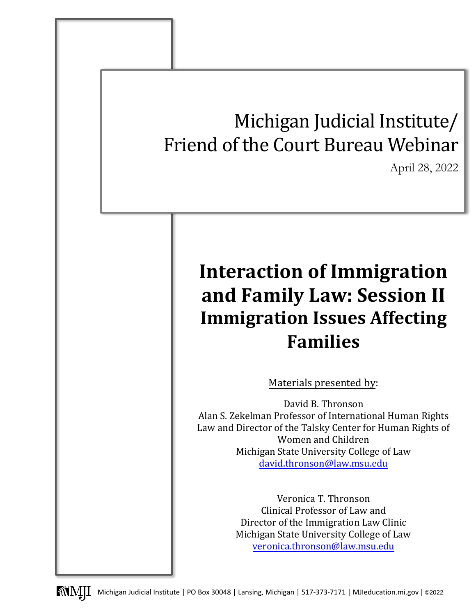# Michigan Judicial Institute/ Friend of the Court Bureau Webinar April 28, 2022 **Interaction of Immigration and Family Law: Session II Immigration Issues Affecting Families** Materials presented by: David B. Thronson Alan S. Zekelman Professor of International Human Rights Law and Director of the Talsky Center for Human Rights of [Women and Children](mailto:david.thronson@law.msu.edu)  Michigan State University College of Law david.thronson@law.msu.edu Veronica T. Thronson Clinical Professor of Law and Director of the [Immigration Law Clin](mailto:veronica.thronson@law.msu.edu)ic Michigan State University College of Law veronica.thronson@law.msu.edu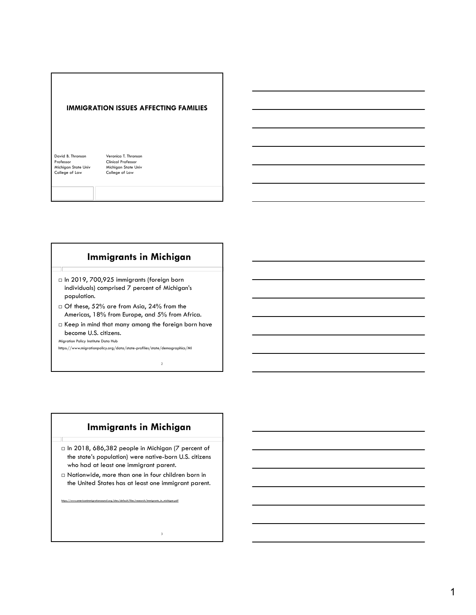

# **Immigrants in Michigan**

- □ In 2019, 700,925 immigrants (foreign born individuals) comprised 7 percent of Michigan's population.
- Of these, 52% are from Asia, 24% from the Americas, 18% from Europe, and 5% from Africa.
- $\Box$  Keep in mind that many among the foreign born have become U.S. citizens.

2

3

Migration Policy Institute Data Hub

https://www.migrationpolicy.org/data/state-profiles/state/demographics/MI

# **Immigrants in Michigan**

- □ In 2018, 686,382 people in Michigan (7 percent of the state's population) were native-born U.S. citizens who had at least one immigrant parent.
- Nationwide, more than one in four children born in the United States has at least one immigrant parent.

https://www.americanimmigrationcouncil.org/sites/default/files/research/immigrants\_in\_michigan.pdf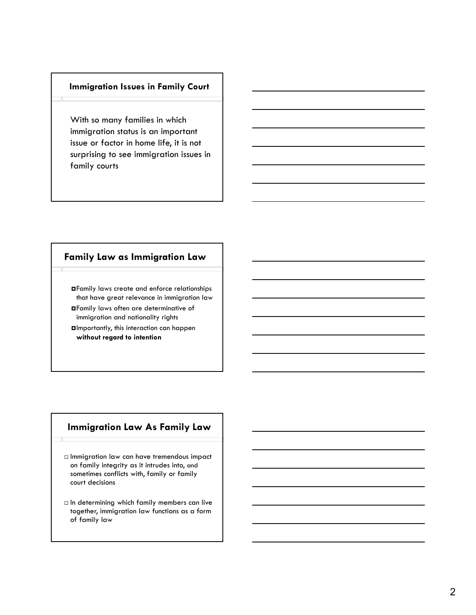## **Immigration Issues in Family Court**

With so many families in which immigration status is an important issue or factor in home life, it is not surprising to see immigration issues in family courts

# **Family Law as Immigration Law**

Family laws create and enforce relationships that have great relevance in immigration law Family laws often are determinative of immigration and nationality rights Importantly, this interaction can happen **without regard to intention**

# **Immigration Law As Family Law**

- Immigration law can have tremendous impact on family integrity as it intrudes into, and sometimes conflicts with, family or family court decisions
- $\Box$  In determining which family members can live together, immigration law functions as a form of family law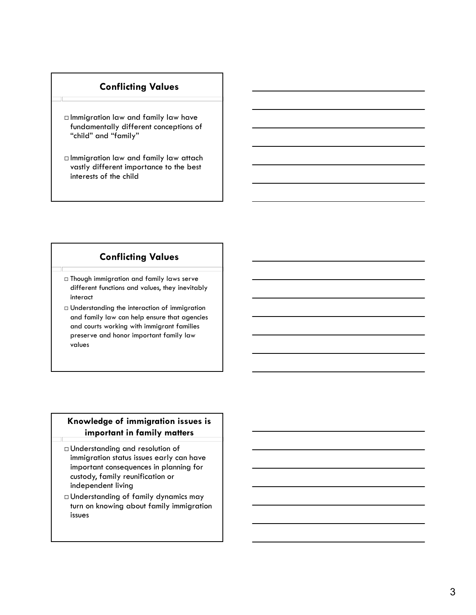# **Conflicting Values**

- Immigration law and family law have fundamentally different conceptions of "child" and "family"
- Immigration law and family law attach vastly different importance to the best interests of the child

# **Conflicting Values**

- $\Box$  Though immigration and family laws serve different functions and values, they inevitably interact
- Understanding the interaction of immigration and family law can help ensure that agencies and courts working with immigrant families preserve and honor important family law values

## **Knowledge of immigration issues is important in family matters**

- Understanding and resolution of immigration status issues early can have important consequences in planning for custody, family reunification or independent living
- Understanding of family dynamics may turn on knowing about family immigration issues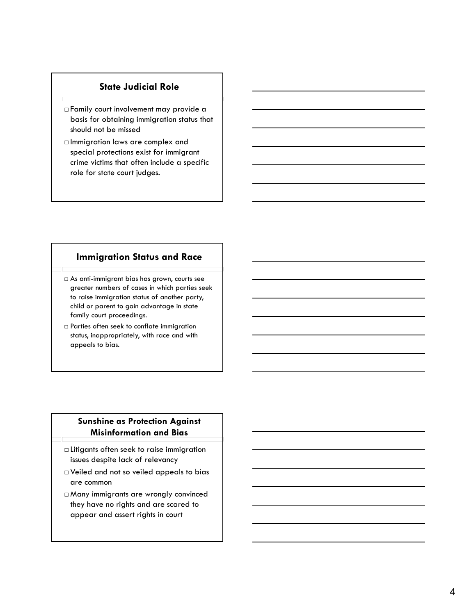# **State Judicial Role**

- Family court involvement may provide a basis for obtaining immigration status that should not be missed
- Immigration laws are complex and special protections exist for immigrant crime victims that often include a specific role for state court judges.

## **Immigration Status and Race**

- As anti-immigrant bias has grown, courts see greater numbers of cases in which parties seek to raise immigration status of another party, child or parent to gain advantage in state family court proceedings.
- Parties often seek to conflate immigration status, inappropriately, with race and with appeals to bias.

## **Sunshine as Protection Against Misinformation and Bias**

- Litigants often seek to raise immigration issues despite lack of relevancy
- Veiled and not so veiled appeals to bias are common
- Many immigrants are wrongly convinced they have no rights and are scared to appear and assert rights in court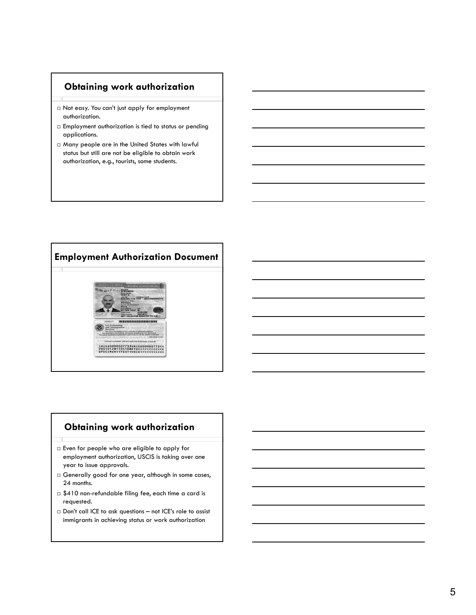# **Obtaining work authorization**

- Not easy. You can't just apply for employment authorization.
- Employment authorization is tied to status or pending applications.
- Many people are in the United States with lawful status but still are not be eligible to obtain work authorization, e.g., tourists, some students.



## **Obtaining work authorization**

- Even for people who are eligible to apply for employment authorization, USCIS is taking over one year to issue approvals.
- Generally good for one year, although in some cases, 24 months.
- $\Box$  \$410 non-refundable filing fee, each time a card is requested.
- Don't call ICE to ask questions not ICE's role to assist immigrants in achieving status or work authorization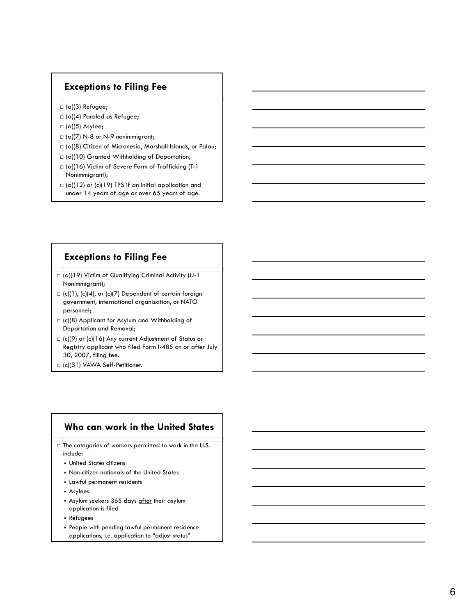# **Exceptions to Filing Fee**

- □ (a)(3) Refugee;
- □ (a)(4) Paroled as Refugee;
- $\Box$  (a)(5) Asylee;
- $\Box$  (a)(7) N-8 or N-9 nonimmigrant;
- (a)(8) Citizen of Micronesia, Marshall Islands, or Palau;
- □ (a)(10) Granted Withholding of Deportation;
- $\Box$  (a)(16) Victim of Severe Form of Trafficking (T-1 Nonimmigrant);
- $\Box$  (a)(12) or (c)(19) TPS if an initial application and under 14 years of age or over 65 years of age.

## **Exceptions to Filing Fee**

- □ (a)(19) Victim of Qualifying Criminal Activity (U-1 Nonimmigrant);
- $\Box$  (c)(1), (c)(4), or (c)(7) Dependent of certain foreign government, international organization, or NATO personnel;
- $\Box$  (c)(8) Applicant for Asylum and Withholding of Deportation and Removal;
- (c)(9) or (c)(16) Any current Adjustment of Status or Registry applicant who filed Form I-485 on or after July 30, 2007, filing fee.
- (c)(31) VAWA Self-Petitioner.

## **Who can work in the United States**

- $\Box$  The categories of workers permitted to work in the U.S. include:
	- United States citizens
	- Non-citizen nationals of the United States
	- Lawful permanent residents
	- Asylees
	- Asylum seekers 365 days after their asylum application is filed
	- Refugees
	- People with pending lawful permanent residence applications, i.e. application to "adjust status"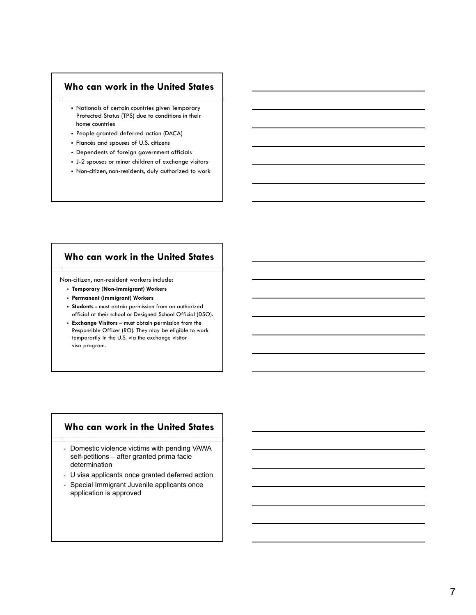## **Who can work in the United States**

- Nationals of certain countries given Temporary Protected Status (TPS) due to conditions in their home countries
- People granted deferred action (DACA)
- Fiancés and spouses of U.S. citizens
- Dependents of foreign government officials
- J-2 spouses or minor children of exchange visitors
- Non-citizen, non-residents, duly authorized to work

# **Who can work in the United States**

Non-citizen, non-resident workers include:

- **Temporary (Non-Immigrant) Workers**
- **Permanent (Immigrant) Workers**
- **Students -** must obtain permission from an authorized official at their school or Designed School Official (DSO).
- **Exchange Visitors –** must obtain permission from the Responsible Officer (RO). They may be eligible to work temporarily in the U.S. via the exchange visitor visa program.

## **Who can work in the United States**

- Domestic violence victims with pending VAWA self-petitions – after granted prima facie determination
- U visa applicants once granted deferred action
- Special Immigrant Juvenile applicants once application is approved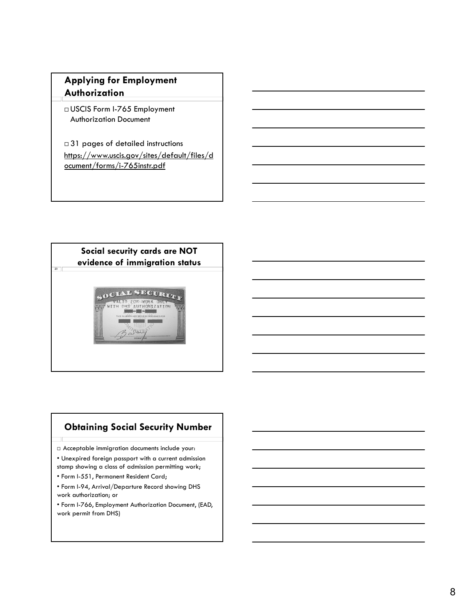# **Applying for Employment Authorization**

 USCIS Form I-765 Employment Authorization Document

□31 pages of detailed instructions https://www.uscis.gov/sites/default/files/d ocument/forms/i-765instr.pdf



# **Obtaining Social Security Number**

Acceptable immigration documents include your:

• Unexpired foreign passport with a current admission stamp showing a class of admission permitting work;

• Form I-551, Permanent Resident Card;

- Form I-94, Arrival/Departure Record showing DHS work authorization; or
- Form I-766, Employment Authorization Document, (EAD, work permit from DHS)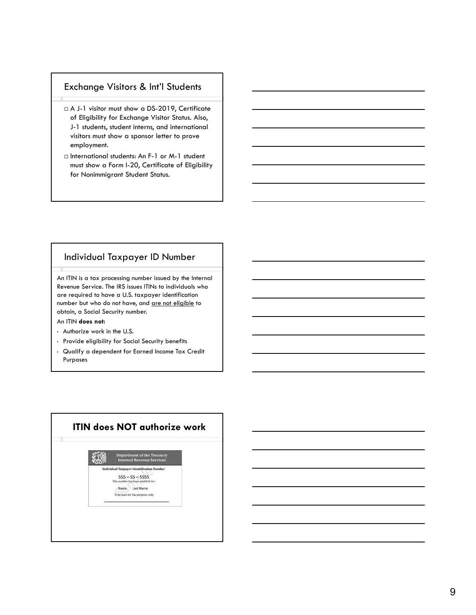## Exchange Visitors & Int'l Students

- □ A J-1 visitor must show a DS-2019, Certificate of Eligibility for Exchange Visitor Status. Also, J-1 students, student interns, and international visitors must show a sponsor letter to prove employment.
- □ International students: An F-1 or M-1 student must show a Form I-20, Certificate of Eligibility for Nonimmigrant Student Status.

## Individual Taxpayer ID Number

An ITIN is a tax processing number issued by the Internal Revenue Service. The IRS issues ITINs to individuals who are required to have a U.S. taxpayer identification number but who do not have, and are not eligible to obtain, a Social Security number.

#### An ITIN **does not:**

- Authorize work in the U.S.
- Provide eligibility for Social Security benefits
- Qualify a dependent for Earned Income Tax Credit Purposes

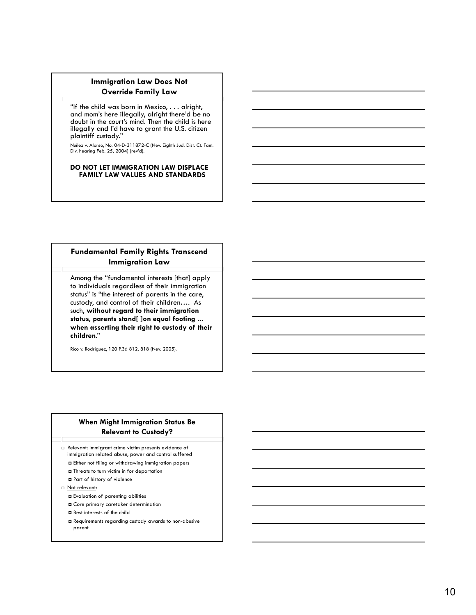## **Immigration Law Does Not Override Family Law**

"If the child was born in Mexico,  $\dots$  alright, and mom's here illegally, alright there'd be no doubt in the court's mind. Then the child is here illegally and I'd have to grant the U.S. citizen plaintiff custody."

Nuñez v. Alonso, No. 04-D-311872-C (Nev. Eighth Jud. Dist. Ct. Fam. Div. hearing Feb. 25, 2004) (rev'd).

#### **DO NOT LET IMMIGRATION LAW DISPLACE FAMILY LAW VALUES AND STANDARDS**

## **Fundamental Family Rights Transcend Immigration Law**

Among the "fundamental interests [that] apply to individuals regardless of their immigration status" is "the interest of parents in the care, custody, and control of their children…. As such, **without regard to their immigration status, parents stand[ ]on equal footing ... when asserting their right to custody of their children**."

Rico v. Rodriguez, 120 P.3d 812, 818 (Nev. 2005).

## **When Might Immigration Status Be Relevant to Custody?**

□ Relevant: Immigrant crime victim presents evidence of immigration related abuse, power and control suffered

- Either not filing or withdrawing immigration papers
- Threats to turn victim in for deportation
- Part of history of violence
- Not relevant:
	- Evaluation of parenting abilities
	- Core primary caretaker determination
	- Best interests of the child
	- Requirements regarding custody awards to non-abusive parent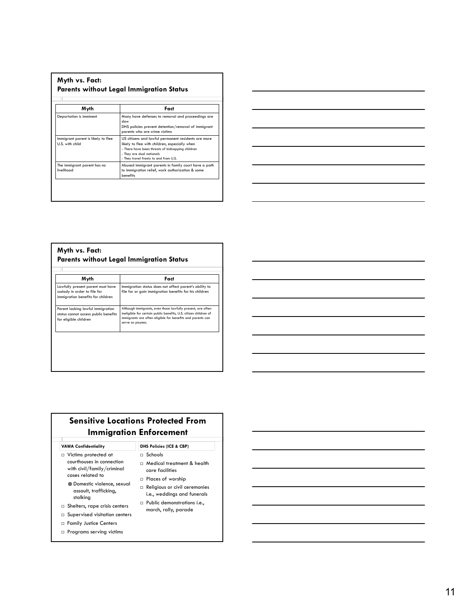| Myth                                                  | Fact                                                                                                                                                                                                                           |
|-------------------------------------------------------|--------------------------------------------------------------------------------------------------------------------------------------------------------------------------------------------------------------------------------|
| Deportation is imminent                               | Many have defenses to removal and proceedings are<br>slow<br>DHS policies prevent detention/removal of immigrant<br>parents who are crime victims                                                                              |
| Immigrant parent is likely to flee<br>U.S. with child | US citizens and lawful permanent residents are more<br>likely to flee with children, especially when<br>- There have been threats of kidnapping children<br>- They are dual nationals<br>- They travel freely to and from U.S. |
| The immigrant parent has no<br>livelihood             | Abused immigrant parents in family court have a path<br>to immigration relief, work authorization & some<br>benefits                                                                                                           |



### **Myth vs. Fact: Parents without Legal Immigration Status**

| Myth                                                                                                   | Fact                                                                                                                                                                                                              |
|--------------------------------------------------------------------------------------------------------|-------------------------------------------------------------------------------------------------------------------------------------------------------------------------------------------------------------------|
| Lawfully present parent must have<br>custody in order to file for<br>immigration benefits for children | Immigration status does not affect parent's ability to<br>file for or gain immigration benefits for his children                                                                                                  |
| Parent lacking lawful immigration<br>status cannot access public benefits<br>for eligible children     | Although immigrants, even those lawfully present, are often<br>ineligible for certain public benefits, U.S. citizen children of<br>immigrants are often eligible for benefits and parents can<br>serve as payees. |

# **Sensitive Locations Protected From Immigration Enforcement**

**VAWA Confidentiality DHS Policies (ICE & CBP)**

- Victims protected at courthouses in connection with civil/family/criminal  $\,$ cases related to
	- **D** Domestic violence, sexual assault, trafficking, stalking
- Shelters, rape crisis centers
- $\square$  Supervised visitation centers
- Family Justice Centers
- 

## Schools

- Medical treatment & health
- care facilities
- $\Box$  Places of worship
- Religious or civil ceremonies i.e., weddings and funerals
- Public demonstrations i.e., march, rally, parade

Programs serving victims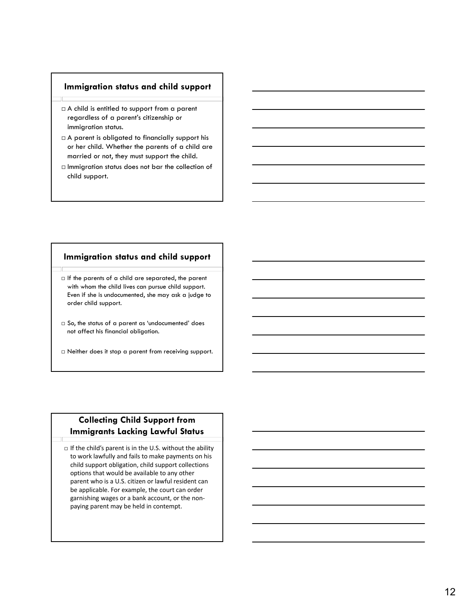## **Immigration status and child support**

- $\Box$  A child is entitled to support from a parent regardless of a parent's citizenship or immigration status.
- $\Box$  A parent is obligated to financially support his or her child. Whether the parents of a child are married or not, they must support the child.
- $\Box$  Immigration status does not bar the collection of child support.

## **Immigration status and child support**

 $\Box$  If the parents of a child are separated, the parent with whom the child lives can pursue child support. Even if she is undocumented, she may ask a judge to order child support.

- $\Box$  So, the status of a parent as 'undocumented' does not affect his financial obligation.
- Neither does it stop a parent from receiving support.

# **Collecting Child Support from Immigrants Lacking Lawful Status**

 $\Box$  If the child's parent is in the U.S. without the ability to work lawfully and fails to make payments on his child support obligation, child support collections options that would be available to any other parent who is a U.S. citizen or lawful resident can be applicable. For example, the court can order garnishing wages or a bank account, or the non‐ paying parent may be held in contempt.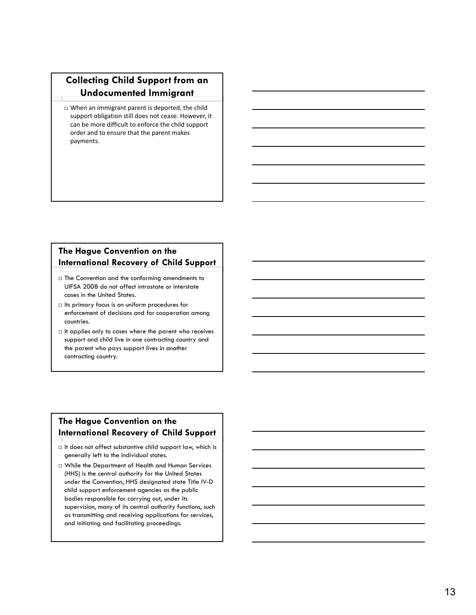# **Collecting Child Support from an Undocumented Immigrant**

 When an immigrant parent is deported, the child support obligation still does not cease. However, it can be more difficult to enforce the child support order and to ensure that the parent makes payments.

## **The Hague Convention on the International Recovery of Child Support**

- $\Box$  The Convention and the conforming amendments to UIFSA 2008 do not affect intrastate or interstate cases in the United States.
- $\Box$  Its primary focus is on uniform procedures for enforcement of decisions and for cooperation among countries.
- $\Box$  It applies only to cases where the parent who receives support and child live in one contracting country and the parent who pays support lives in another contracting country.

## **The Hague Convention on the International Recovery of Child Support**

- $\Box$  It does not affect substantive child support law, which is generally left to the individual states.
- While the Department of Health and Human Services (HHS) is the central authority for the United States under the Convention, HHS designated state Title IV-D child support enforcement agencies as the public bodies responsible for carrying out, under its supervision, many of its central authority functions, such as transmitting and receiving applications for services, and initiating and facilitating proceedings.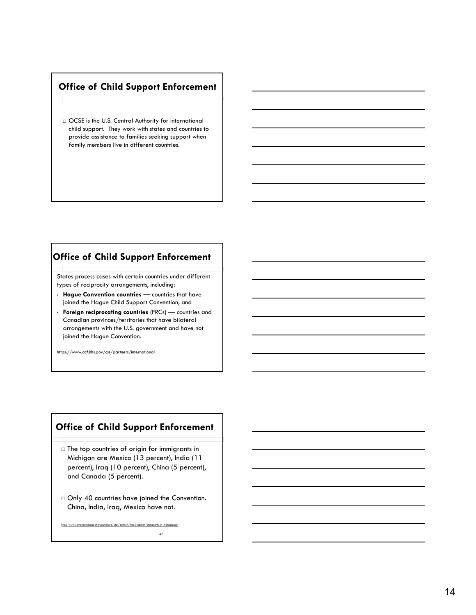# **Office of Child Support Enforcement**

 $\Box$  OCSE is the U.S. Central Authority for international child support. They work with states and countries to provide assistance to families seeking support when family members live in different countries.

## **Office of Child Support Enforcement**

States process cases with certain countries under different types of reciprocity arrangements, including:

- **Hague Convention countries** countries that have joined the Hague Child Support Convention, and
- **Foreign reciprocating countries** (FRCs) countries and Canadian provinces/territories that have bilateral arrangements with the U.S. government and have not joined the Hague Convention.

https://www.acf.hhs.gov/css/partners/international

# **Office of Child Support Enforcement**

- $\square$  The top countries of origin for immigrants in Michigan are Mexico (13 percent), India (11 percent), Iraq (10 percent), China (5 percent), and Canada (5 percent).
- □ Only 40 countries have joined the Convention. China, India, Iraq, Mexico have not.

42

https://www.americanimmigrationcouncil.org/sites/default/files/research/immigrants\_in\_michigan.pdf